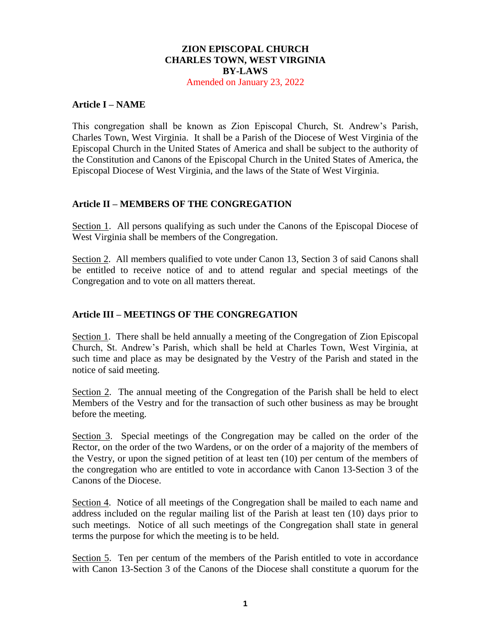# **ZION EPISCOPAL CHURCH CHARLES TOWN, WEST VIRGINIA BY-LAWS**

Amended on January 23, 2022

### **Article I – NAME**

This congregation shall be known as Zion Episcopal Church, St. Andrew's Parish, Charles Town, West Virginia. It shall be a Parish of the Diocese of West Virginia of the Episcopal Church in the United States of America and shall be subject to the authority of the Constitution and Canons of the Episcopal Church in the United States of America, the Episcopal Diocese of West Virginia, and the laws of the State of West Virginia.

### **Article II – MEMBERS OF THE CONGREGATION**

Section 1. All persons qualifying as such under the Canons of the Episcopal Diocese of West Virginia shall be members of the Congregation.

Section 2. All members qualified to vote under Canon 13, Section 3 of said Canons shall be entitled to receive notice of and to attend regular and special meetings of the Congregation and to vote on all matters thereat.

### **Article III – MEETINGS OF THE CONGREGATION**

Section 1. There shall be held annually a meeting of the Congregation of Zion Episcopal Church, St. Andrew's Parish, which shall be held at Charles Town, West Virginia, at such time and place as may be designated by the Vestry of the Parish and stated in the notice of said meeting.

Section 2. The annual meeting of the Congregation of the Parish shall be held to elect Members of the Vestry and for the transaction of such other business as may be brought before the meeting.

Section 3. Special meetings of the Congregation may be called on the order of the Rector, on the order of the two Wardens, or on the order of a majority of the members of the Vestry, or upon the signed petition of at least ten (10) per centum of the members of the congregation who are entitled to vote in accordance with Canon 13-Section 3 of the Canons of the Diocese.

Section 4. Notice of all meetings of the Congregation shall be mailed to each name and address included on the regular mailing list of the Parish at least ten (10) days prior to such meetings. Notice of all such meetings of the Congregation shall state in general terms the purpose for which the meeting is to be held.

Section 5. Ten per centum of the members of the Parish entitled to vote in accordance with Canon 13-Section 3 of the Canons of the Diocese shall constitute a quorum for the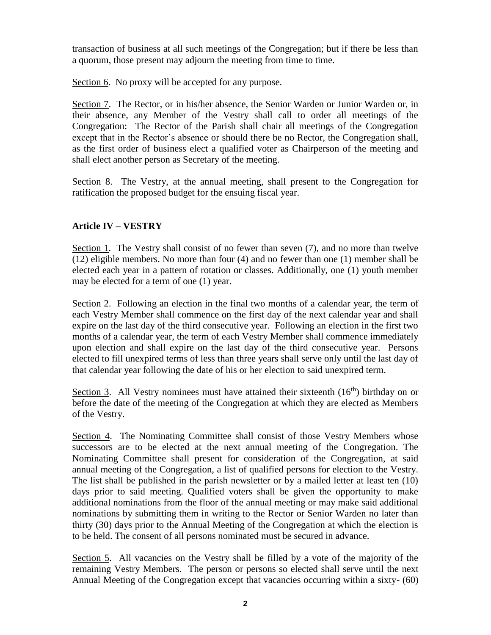transaction of business at all such meetings of the Congregation; but if there be less than a quorum, those present may adjourn the meeting from time to time.

Section 6. No proxy will be accepted for any purpose.

Section 7. The Rector, or in his/her absence, the Senior Warden or Junior Warden or, in their absence, any Member of the Vestry shall call to order all meetings of the Congregation: The Rector of the Parish shall chair all meetings of the Congregation except that in the Rector's absence or should there be no Rector, the Congregation shall, as the first order of business elect a qualified voter as Chairperson of the meeting and shall elect another person as Secretary of the meeting.

Section 8. The Vestry, at the annual meeting, shall present to the Congregation for ratification the proposed budget for the ensuing fiscal year.

# **Article IV – VESTRY**

Section 1. The Vestry shall consist of no fewer than seven (7), and no more than twelve (12) eligible members. No more than four (4) and no fewer than one (1) member shall be elected each year in a pattern of rotation or classes. Additionally, one (1) youth member may be elected for a term of one (1) year.

Section 2. Following an election in the final two months of a calendar year, the term of each Vestry Member shall commence on the first day of the next calendar year and shall expire on the last day of the third consecutive year. Following an election in the first two months of a calendar year, the term of each Vestry Member shall commence immediately upon election and shall expire on the last day of the third consecutive year. Persons elected to fill unexpired terms of less than three years shall serve only until the last day of that calendar year following the date of his or her election to said unexpired term.

Section 3. All Vestry nominees must have attained their sixteenth  $(16<sup>th</sup>)$  birthday on or before the date of the meeting of the Congregation at which they are elected as Members of the Vestry.

Section 4. The Nominating Committee shall consist of those Vestry Members whose successors are to be elected at the next annual meeting of the Congregation. The Nominating Committee shall present for consideration of the Congregation, at said annual meeting of the Congregation, a list of qualified persons for election to the Vestry. The list shall be published in the parish newsletter or by a mailed letter at least ten (10) days prior to said meeting. Qualified voters shall be given the opportunity to make additional nominations from the floor of the annual meeting or may make said additional nominations by submitting them in writing to the Rector or Senior Warden no later than thirty (30) days prior to the Annual Meeting of the Congregation at which the election is to be held. The consent of all persons nominated must be secured in advance.

Section 5. All vacancies on the Vestry shall be filled by a vote of the majority of the remaining Vestry Members. The person or persons so elected shall serve until the next Annual Meeting of the Congregation except that vacancies occurring within a sixty- (60)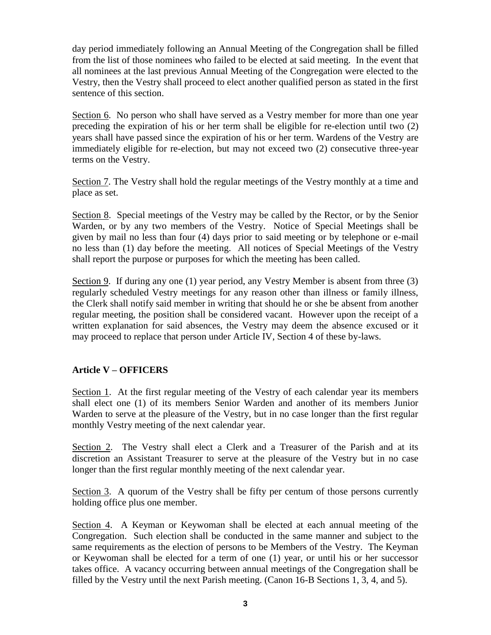day period immediately following an Annual Meeting of the Congregation shall be filled from the list of those nominees who failed to be elected at said meeting. In the event that all nominees at the last previous Annual Meeting of the Congregation were elected to the Vestry, then the Vestry shall proceed to elect another qualified person as stated in the first sentence of this section.

Section 6. No person who shall have served as a Vestry member for more than one year preceding the expiration of his or her term shall be eligible for re-election until two (2) years shall have passed since the expiration of his or her term. Wardens of the Vestry are immediately eligible for re-election, but may not exceed two (2) consecutive three-year terms on the Vestry.

Section 7. The Vestry shall hold the regular meetings of the Vestry monthly at a time and place as set.

Section 8. Special meetings of the Vestry may be called by the Rector, or by the Senior Warden, or by any two members of the Vestry. Notice of Special Meetings shall be given by mail no less than four (4) days prior to said meeting or by telephone or e-mail no less than (1) day before the meeting. All notices of Special Meetings of the Vestry shall report the purpose or purposes for which the meeting has been called.

Section 9. If during any one (1) year period, any Vestry Member is absent from three (3) regularly scheduled Vestry meetings for any reason other than illness or family illness, the Clerk shall notify said member in writing that should he or she be absent from another regular meeting, the position shall be considered vacant. However upon the receipt of a written explanation for said absences, the Vestry may deem the absence excused or it may proceed to replace that person under Article IV, Section 4 of these by-laws.

## **Article V – OFFICERS**

Section 1. At the first regular meeting of the Vestry of each calendar year its members shall elect one (1) of its members Senior Warden and another of its members Junior Warden to serve at the pleasure of the Vestry, but in no case longer than the first regular monthly Vestry meeting of the next calendar year.

Section 2. The Vestry shall elect a Clerk and a Treasurer of the Parish and at its discretion an Assistant Treasurer to serve at the pleasure of the Vestry but in no case longer than the first regular monthly meeting of the next calendar year.

Section 3. A quorum of the Vestry shall be fifty per centum of those persons currently holding office plus one member.

Section 4. A Keyman or Keywoman shall be elected at each annual meeting of the Congregation. Such election shall be conducted in the same manner and subject to the same requirements as the election of persons to be Members of the Vestry. The Keyman or Keywoman shall be elected for a term of one (1) year, or until his or her successor takes office. A vacancy occurring between annual meetings of the Congregation shall be filled by the Vestry until the next Parish meeting. (Canon 16-B Sections 1, 3, 4, and 5).